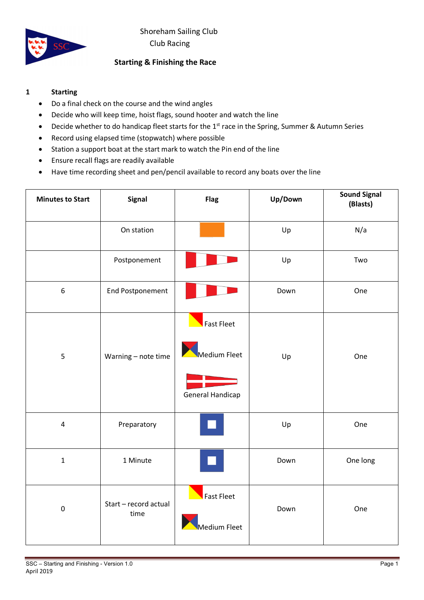

# **Starting & Finishing the Race**

### **1 Starting**

- Do a final check on the course and the wind angles
- Decide who will keep time, hoist flags, sound hooter and watch the line
- Decide whether to do handicap fleet starts for the 1<sup>st</sup> race in the Spring, Summer & Autumn Series
- Record using elapsed time (stopwatch) where possible
- Station a support boat at the start mark to watch the Pin end of the line
- Ensure recall flags are readily available
- Have time recording sheet and pen/pencil available to record any boats over the line

| <b>Minutes to Start</b> | <b>Signal</b>                 | <b>Flag</b>             | Up/Down | <b>Sound Signal</b><br>(Blasts) |
|-------------------------|-------------------------------|-------------------------|---------|---------------------------------|
|                         | On station                    |                         | Up      | N/a                             |
|                         | Postponement                  |                         | Up      | Two                             |
| $\boldsymbol{6}$        | <b>End Postponement</b>       |                         | Down    | One                             |
|                         |                               | Fast Fleet              |         |                                 |
| 5                       | Warning - note time           | Medium Fleet            | Up      | One                             |
|                         |                               | <b>General Handicap</b> |         |                                 |
| $\overline{\mathbf{4}}$ | Preparatory                   |                         | Up      | One                             |
| $\mathbf{1}$            | 1 Minute                      |                         | Down    | One long                        |
| $\pmb{0}$               | Start - record actual<br>time | <b>Fast Fleet</b>       | Down    | One                             |
|                         |                               | Aedium Fleet            |         |                                 |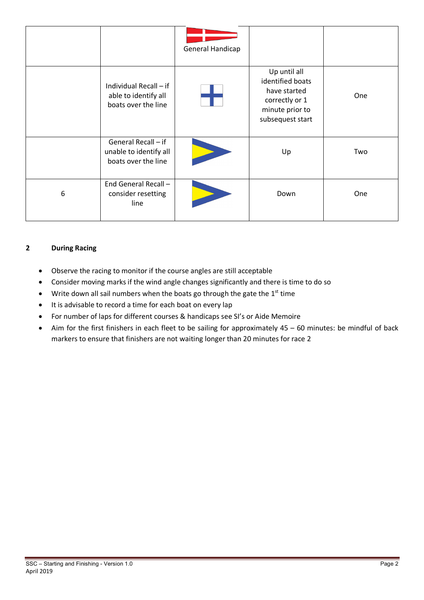|   |                                                                       | General Handicap |                                                                                                           |     |
|---|-----------------------------------------------------------------------|------------------|-----------------------------------------------------------------------------------------------------------|-----|
|   | Individual Recall - if<br>able to identify all<br>boats over the line |                  | Up until all<br>identified boats<br>have started<br>correctly or 1<br>minute prior to<br>subsequest start | One |
|   | General Recall - if<br>unable to identify all<br>boats over the line  |                  | Up                                                                                                        | Two |
| 6 | End General Recall -<br>consider resetting<br>line                    |                  | Down                                                                                                      | One |

## **2 During Racing**

- Observe the racing to monitor if the course angles are still acceptable
- Consider moving marks if the wind angle changes significantly and there is time to do so
- Write down all sail numbers when the boats go through the gate the  $1<sup>st</sup>$  time
- It is advisable to record a time for each boat on every lap
- For number of laps for different courses & handicaps see SI's or Aide Memoire
- Aim for the first finishers in each fleet to be sailing for approximately 45 60 minutes: be mindful of back markers to ensure that finishers are not waiting longer than 20 minutes for race 2